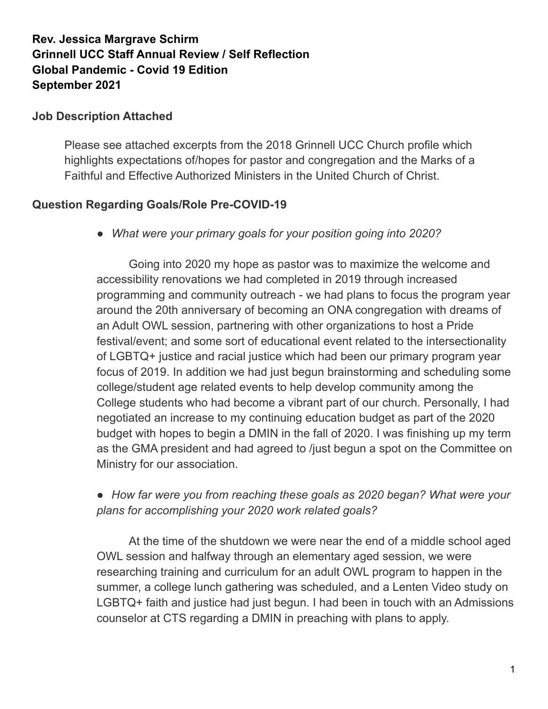## **Rev. Jessica Margrave Schirm Grinnell UCC Staff Annual Review / Self Reflection Global Pandemic - Covid 19 Edition September 2021**

#### **Job Description Attached**

Please see attached excerpts from the 2018 Grinnell UCC Church profile which highlights expectations of/hopes for pastor and congregation and the Marks of a Faithful and Effective Authorized Ministers in the United Church of Christ.

#### **Question Regarding Goals/Role Pre-COVID-19**

*● What were your primary goals for your position going into 2020?*

Going into 2020 my hope as pastor was to maximize the welcome and accessibility renovations we had completed in 2019 through increased programming and community outreach - we had plans to focus the program year around the 20th anniversary of becoming an ONA congregation with dreams of an Adult OWL session, partnering with other organizations to host a Pride festival/event; and some sort of educational event related to the intersectionality of LGBTQ+ justice and racial justice which had been our primary program year focus of 2019. In addition we had just begun brainstorming and scheduling some college/student age related events to help develop community among the College students who had become a vibrant part of our church. Personally, I had negotiated an increase to my continuing education budget as part of the 2020 budget with hopes to begin a DMIN in the fall of 2020. I was finishing up my term as the GMA president and had agreed to /just begun a spot on the Committee on Ministry for our association.

## *● How far were you from reaching these goals as 2020 began? What were your plans for accomplishing your 2020 work related goals?*

At the time of the shutdown we were near the end of a middle school aged OWL session and halfway through an elementary aged session, we were researching training and curriculum for an adult OWL program to happen in the summer, a college lunch gathering was scheduled, and a Lenten Video study on LGBTQ+ faith and justice had just begun. I had been in touch with an Admissions counselor at CTS regarding a DMIN in preaching with plans to apply.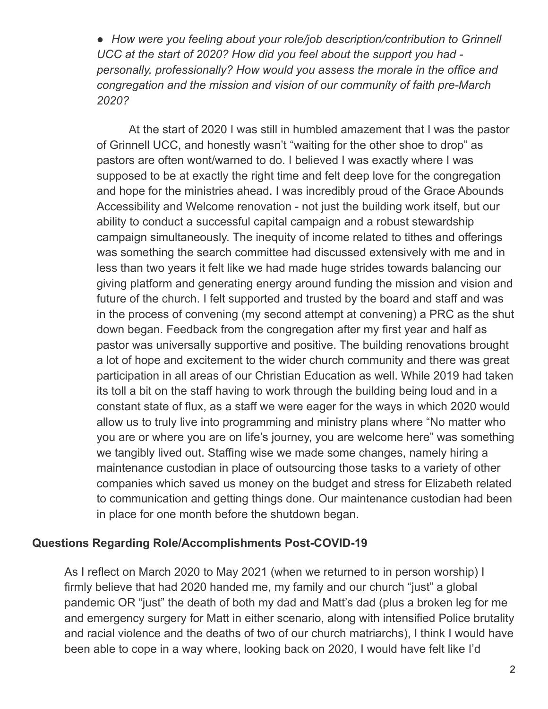*● How were you feeling about your role/job description/contribution to Grinnell UCC at the start of 2020? How did you feel about the support you had personally, professionally? How would you assess the morale in the office and congregation and the mission and vision of our community of faith pre-March 2020?*

At the start of 2020 I was still in humbled amazement that I was the pastor of Grinnell UCC, and honestly wasn't "waiting for the other shoe to drop" as pastors are often wont/warned to do. I believed I was exactly where I was supposed to be at exactly the right time and felt deep love for the congregation and hope for the ministries ahead. I was incredibly proud of the Grace Abounds Accessibility and Welcome renovation - not just the building work itself, but our ability to conduct a successful capital campaign and a robust stewardship campaign simultaneously. The inequity of income related to tithes and offerings was something the search committee had discussed extensively with me and in less than two years it felt like we had made huge strides towards balancing our giving platform and generating energy around funding the mission and vision and future of the church. I felt supported and trusted by the board and staff and was in the process of convening (my second attempt at convening) a PRC as the shut down began. Feedback from the congregation after my first year and half as pastor was universally supportive and positive. The building renovations brought a lot of hope and excitement to the wider church community and there was great participation in all areas of our Christian Education as well. While 2019 had taken its toll a bit on the staff having to work through the building being loud and in a constant state of flux, as a staff we were eager for the ways in which 2020 would allow us to truly live into programming and ministry plans where "No matter who you are or where you are on life's journey, you are welcome here" was something we tangibly lived out. Staffing wise we made some changes, namely hiring a maintenance custodian in place of outsourcing those tasks to a variety of other companies which saved us money on the budget and stress for Elizabeth related to communication and getting things done. Our maintenance custodian had been in place for one month before the shutdown began.

#### **Questions Regarding Role/Accomplishments Post-COVID-19**

As I reflect on March 2020 to May 2021 (when we returned to in person worship) I firmly believe that had 2020 handed me, my family and our church "just" a global pandemic OR "just" the death of both my dad and Matt's dad (plus a broken leg for me and emergency surgery for Matt in either scenario, along with intensified Police brutality and racial violence and the deaths of two of our church matriarchs), I think I would have been able to cope in a way where, looking back on 2020, I would have felt like I'd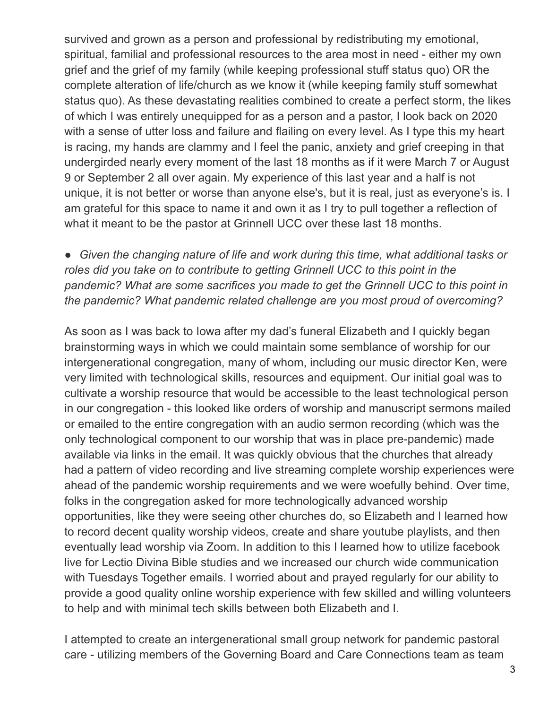survived and grown as a person and professional by redistributing my emotional, spiritual, familial and professional resources to the area most in need - either my own grief and the grief of my family (while keeping professional stuff status quo) OR the complete alteration of life/church as we know it (while keeping family stuff somewhat status quo). As these devastating realities combined to create a perfect storm, the likes of which I was entirely unequipped for as a person and a pastor, I look back on 2020 with a sense of utter loss and failure and flailing on every level. As I type this my heart is racing, my hands are clammy and I feel the panic, anxiety and grief creeping in that undergirded nearly every moment of the last 18 months as if it were March 7 or August 9 or September 2 all over again. My experience of this last year and a half is not unique, it is not better or worse than anyone else's, but it is real, just as everyone's is. I am grateful for this space to name it and own it as I try to pull together a reflection of what it meant to be the pastor at Grinnell UCC over these last 18 months.

● *Given the changing nature of life and work during this time, what additional tasks or roles did you take on to contribute to getting Grinnell UCC to this point in the pandemic? What are some sacrifices you made to get the Grinnell UCC to this point in the pandemic? What pandemic related challenge are you most proud of overcoming?*

As soon as I was back to Iowa after my dad's funeral Elizabeth and I quickly began brainstorming ways in which we could maintain some semblance of worship for our intergenerational congregation, many of whom, including our music director Ken, were very limited with technological skills, resources and equipment. Our initial goal was to cultivate a worship resource that would be accessible to the least technological person in our congregation - this looked like orders of worship and manuscript sermons mailed or emailed to the entire congregation with an audio sermon recording (which was the only technological component to our worship that was in place pre-pandemic) made available via links in the email. It was quickly obvious that the churches that already had a pattern of video recording and live streaming complete worship experiences were ahead of the pandemic worship requirements and we were woefully behind. Over time, folks in the congregation asked for more technologically advanced worship opportunities, like they were seeing other churches do, so Elizabeth and I learned how to record decent quality worship videos, create and share youtube playlists, and then eventually lead worship via Zoom. In addition to this I learned how to utilize facebook live for Lectio Divina Bible studies and we increased our church wide communication with Tuesdays Together emails. I worried about and prayed regularly for our ability to provide a good quality online worship experience with few skilled and willing volunteers to help and with minimal tech skills between both Elizabeth and I.

I attempted to create an intergenerational small group network for pandemic pastoral care - utilizing members of the Governing Board and Care Connections team as team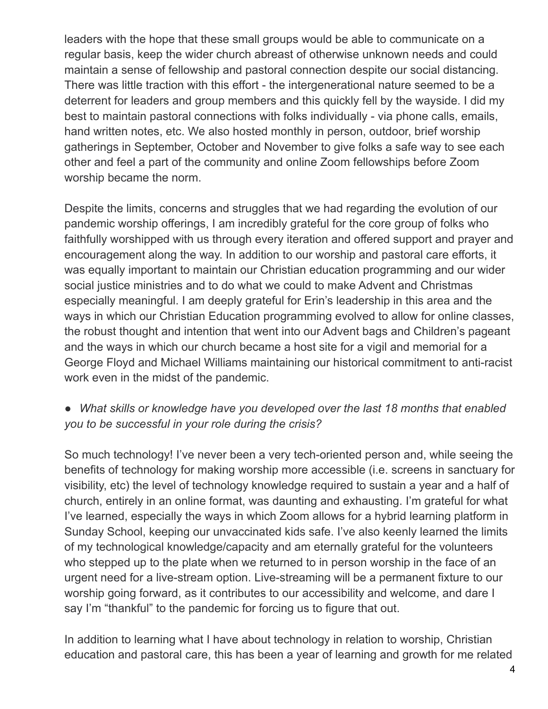leaders with the hope that these small groups would be able to communicate on a regular basis, keep the wider church abreast of otherwise unknown needs and could maintain a sense of fellowship and pastoral connection despite our social distancing. There was little traction with this effort - the intergenerational nature seemed to be a deterrent for leaders and group members and this quickly fell by the wayside. I did my best to maintain pastoral connections with folks individually - via phone calls, emails, hand written notes, etc. We also hosted monthly in person, outdoor, brief worship gatherings in September, October and November to give folks a safe way to see each other and feel a part of the community and online Zoom fellowships before Zoom worship became the norm.

Despite the limits, concerns and struggles that we had regarding the evolution of our pandemic worship offerings, I am incredibly grateful for the core group of folks who faithfully worshipped with us through every iteration and offered support and prayer and encouragement along the way. In addition to our worship and pastoral care efforts, it was equally important to maintain our Christian education programming and our wider social justice ministries and to do what we could to make Advent and Christmas especially meaningful. I am deeply grateful for Erin's leadership in this area and the ways in which our Christian Education programming evolved to allow for online classes, the robust thought and intention that went into our Advent bags and Children's pageant and the ways in which our church became a host site for a vigil and memorial for a George Floyd and Michael Williams maintaining our historical commitment to anti-racist work even in the midst of the pandemic.

## *● What skills or knowledge have you developed over the last 18 months that enabled you to be successful in your role during the crisis?*

So much technology! I've never been a very tech-oriented person and, while seeing the benefits of technology for making worship more accessible (i.e. screens in sanctuary for visibility, etc) the level of technology knowledge required to sustain a year and a half of church, entirely in an online format, was daunting and exhausting. I'm grateful for what I've learned, especially the ways in which Zoom allows for a hybrid learning platform in Sunday School, keeping our unvaccinated kids safe. I've also keenly learned the limits of my technological knowledge/capacity and am eternally grateful for the volunteers who stepped up to the plate when we returned to in person worship in the face of an urgent need for a live-stream option. Live-streaming will be a permanent fixture to our worship going forward, as it contributes to our accessibility and welcome, and dare I say I'm "thankful" to the pandemic for forcing us to figure that out.

In addition to learning what I have about technology in relation to worship, Christian education and pastoral care, this has been a year of learning and growth for me related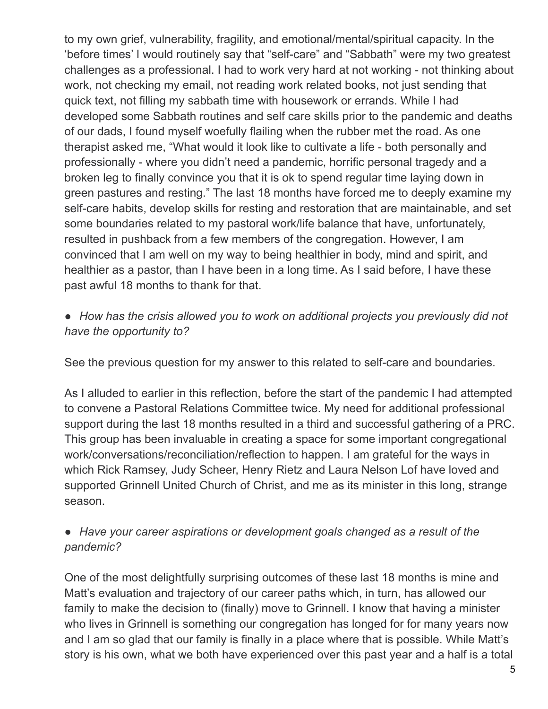to my own grief, vulnerability, fragility, and emotional/mental/spiritual capacity. In the 'before times' I would routinely say that "self-care" and "Sabbath" were my two greatest challenges as a professional. I had to work very hard at not working - not thinking about work, not checking my email, not reading work related books, not just sending that quick text, not filling my sabbath time with housework or errands. While I had developed some Sabbath routines and self care skills prior to the pandemic and deaths of our dads, I found myself woefully flailing when the rubber met the road. As one therapist asked me, "What would it look like to cultivate a life - both personally and professionally - where you didn't need a pandemic, horrific personal tragedy and a broken leg to finally convince you that it is ok to spend regular time laying down in green pastures and resting." The last 18 months have forced me to deeply examine my self-care habits, develop skills for resting and restoration that are maintainable, and set some boundaries related to my pastoral work/life balance that have, unfortunately, resulted in pushback from a few members of the congregation. However, I am convinced that I am well on my way to being healthier in body, mind and spirit, and healthier as a pastor, than I have been in a long time. As I said before, I have these past awful 18 months to thank for that.

### ● *How has the crisis allowed you to work on additional projects you previously did not have the opportunity to?*

See the previous question for my answer to this related to self-care and boundaries.

As I alluded to earlier in this reflection, before the start of the pandemic I had attempted to convene a Pastoral Relations Committee twice. My need for additional professional support during the last 18 months resulted in a third and successful gathering of a PRC. This group has been invaluable in creating a space for some important congregational work/conversations/reconciliation/reflection to happen. I am grateful for the ways in which Rick Ramsey, Judy Scheer, Henry Rietz and Laura Nelson Lof have loved and supported Grinnell United Church of Christ, and me as its minister in this long, strange season.

#### ● *Have your career aspirations or development goals changed as a result of the pandemic?*

One of the most delightfully surprising outcomes of these last 18 months is mine and Matt's evaluation and trajectory of our career paths which, in turn, has allowed our family to make the decision to (finally) move to Grinnell. I know that having a minister who lives in Grinnell is something our congregation has longed for for many years now and I am so glad that our family is finally in a place where that is possible. While Matt's story is his own, what we both have experienced over this past year and a half is a total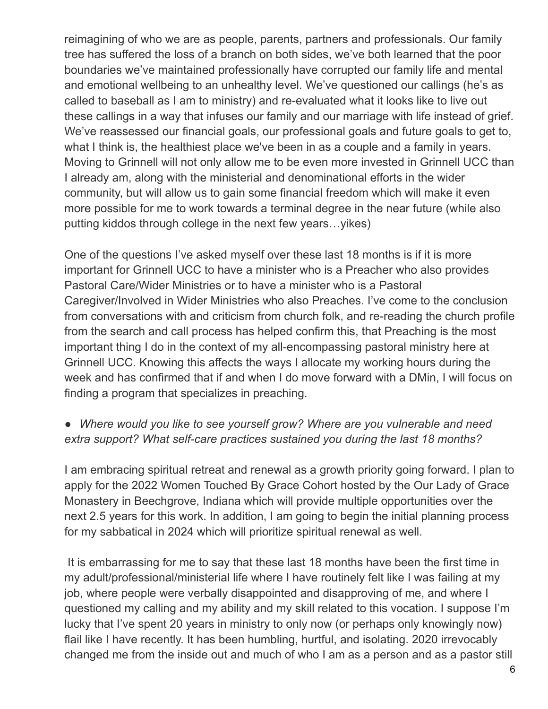reimagining of who we are as people, parents, partners and professionals. Our family tree has suffered the loss of a branch on both sides, we've both learned that the poor boundaries we've maintained professionally have corrupted our family life and mental and emotional wellbeing to an unhealthy level. We've questioned our callings (he's as called to baseball as I am to ministry) and re-evaluated what it looks like to live out these callings in a way that infuses our family and our marriage with life instead of grief. We've reassessed our financial goals, our professional goals and future goals to get to, what I think is, the healthiest place we've been in as a couple and a family in years. Moving to Grinnell will not only allow me to be even more invested in Grinnell UCC than I already am, along with the ministerial and denominational efforts in the wider community, but will allow us to gain some financial freedom which will make it even more possible for me to work towards a terminal degree in the near future (while also putting kiddos through college in the next few years…yikes)

One of the questions I've asked myself over these last 18 months is if it is more important for Grinnell UCC to have a minister who is a Preacher who also provides Pastoral Care/Wider Ministries or to have a minister who is a Pastoral Caregiver/Involved in Wider Ministries who also Preaches. I've come to the conclusion from conversations with and criticism from church folk, and re-reading the church profile from the search and call process has helped confirm this, that Preaching is the most important thing I do in the context of my all-encompassing pastoral ministry here at Grinnell UCC. Knowing this affects the ways I allocate my working hours during the week and has confirmed that if and when I do move forward with a DMin, I will focus on finding a program that specializes in preaching.

## ● *Where would you like to see yourself grow? Where are you vulnerable and need extra support? What self-care practices sustained you during the last 18 months?*

I am embracing spiritual retreat and renewal as a growth priority going forward. I plan to apply for the 2022 Women Touched By Grace Cohort hosted by the Our Lady of Grace Monastery in Beechgrove, Indiana which will provide multiple opportunities over the next 2.5 years for this work. In addition, I am going to begin the initial planning process for my sabbatical in 2024 which will prioritize spiritual renewal as well.

It is embarrassing for me to say that these last 18 months have been the first time in my adult/professional/ministerial life where I have routinely felt like I was failing at my job, where people were verbally disappointed and disapproving of me, and where I questioned my calling and my ability and my skill related to this vocation. I suppose I'm lucky that I've spent 20 years in ministry to only now (or perhaps only knowingly now) flail like I have recently. It has been humbling, hurtful, and isolating. 2020 irrevocably changed me from the inside out and much of who I am as a person and as a pastor still